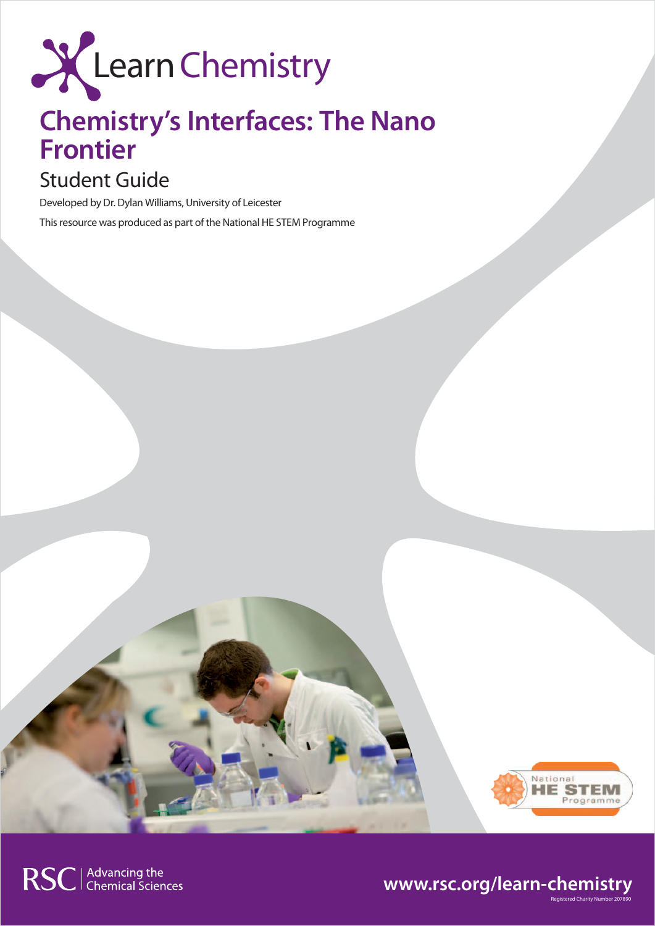

# **Chemistry's Interfaces: The Nano Frontier**

## Student Guide

Developed by Dr. Dylan Williams, University of Leicester This resource was produced as part of the National HE STEM Programme



Registered Charity Number 207890

## **www.rsc.org/learn-chemistry**

RSC | Advancing the<br>
Chemical Sciences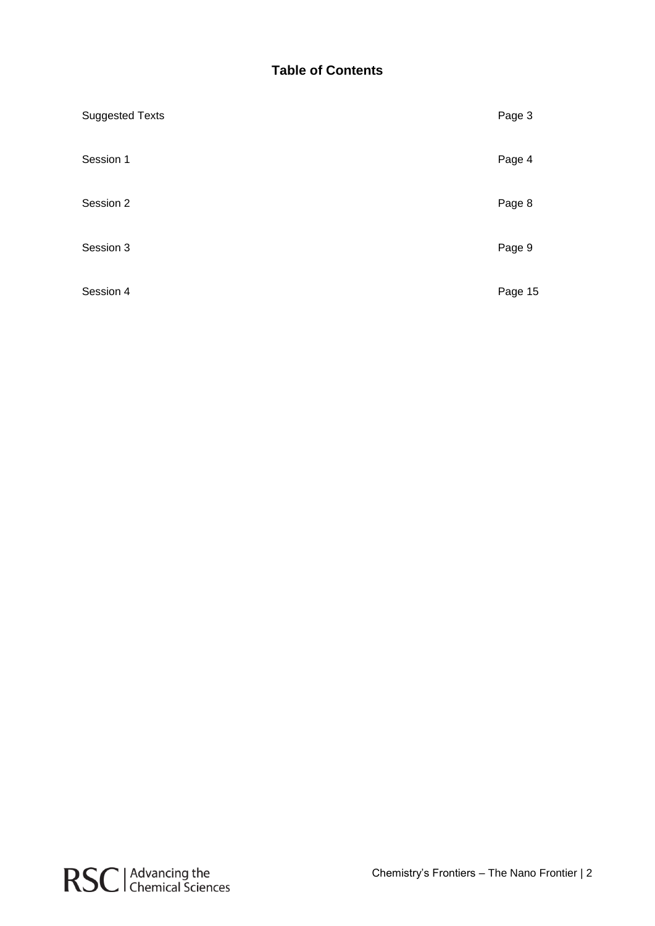## **Table of Contents**

| <b>Suggested Texts</b> | Page 3  |
|------------------------|---------|
| Session 1              | Page 4  |
| Session 2              | Page 8  |
| Session 3              | Page 9  |
| Session 4              | Page 15 |

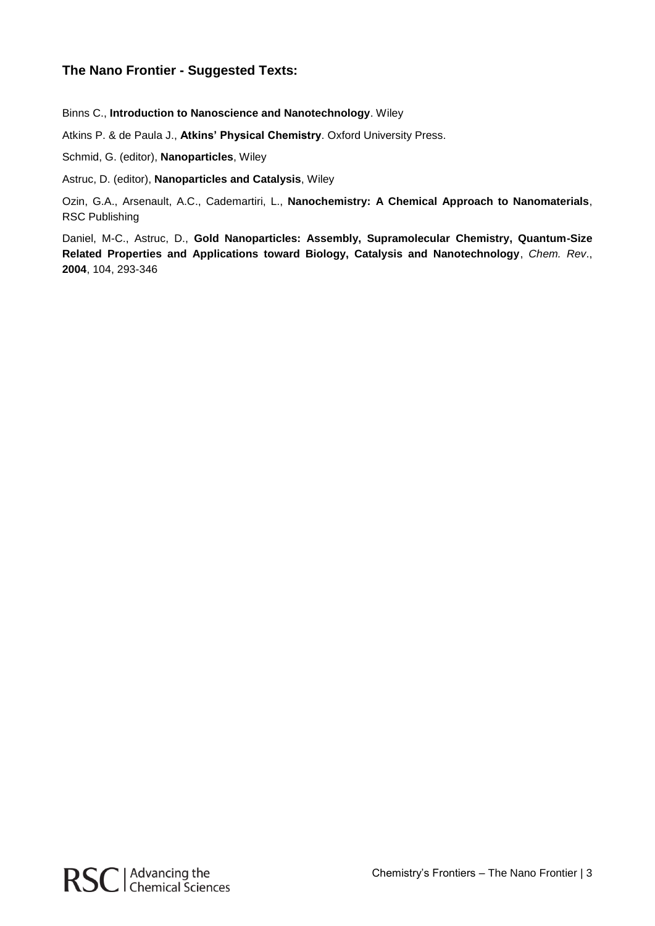## **The Nano Frontier - Suggested Texts:**

Binns C., **Introduction to Nanoscience and Nanotechnology**. Wiley

Atkins P. & de Paula J., **Atkins' Physical Chemistry**. Oxford University Press.

Schmid, G. (editor), **Nanoparticles**, Wiley

Astruc, D. (editor), **Nanoparticles and Catalysis**, Wiley

Ozin, G.A., Arsenault, A.C., Cademartiri, L., **Nanochemistry: A Chemical Approach to Nanomaterials**, RSC Publishing

Daniel, M-C., Astruc, D., **Gold Nanoparticles: Assembly, Supramolecular Chemistry, Quantum-Size Related Properties and Applications toward Biology, Catalysis and Nanotechnology**, *Chem. Rev*., **2004**, 104, 293-346

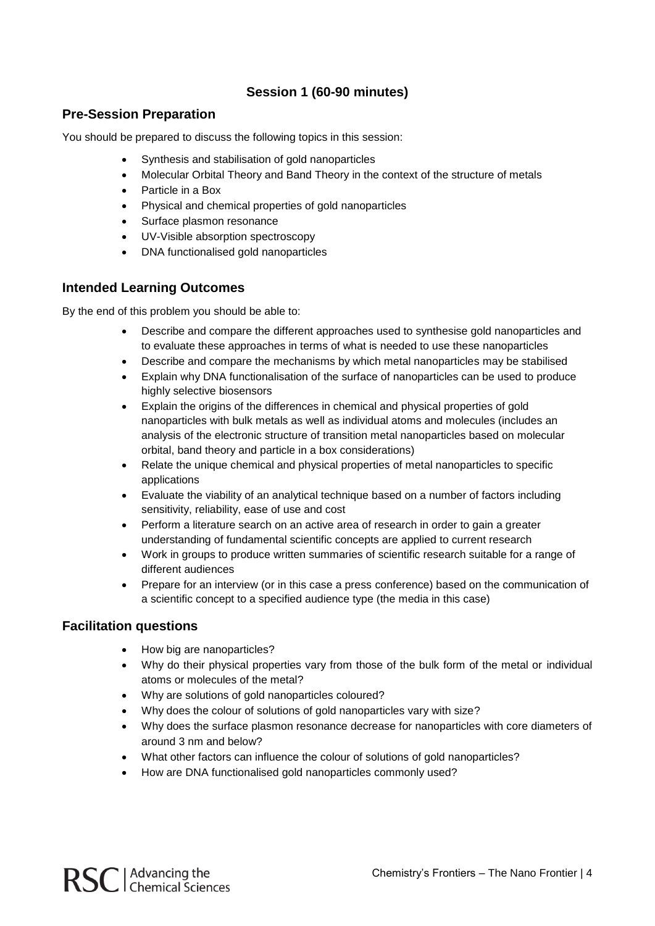## **Session 1 (60-90 minutes)**

## **Pre-Session Preparation**

You should be prepared to discuss the following topics in this session:

- Synthesis and stabilisation of gold nanoparticles
- Molecular Orbital Theory and Band Theory in the context of the structure of metals
- Particle in a Box
- Physical and chemical properties of gold nanoparticles
- Surface plasmon resonance
- UV-Visible absorption spectroscopy
- DNA functionalised gold nanoparticles

### **Intended Learning Outcomes**

By the end of this problem you should be able to:

- Describe and compare the different approaches used to synthesise gold nanoparticles and to evaluate these approaches in terms of what is needed to use these nanoparticles
- Describe and compare the mechanisms by which metal nanoparticles may be stabilised
- Explain why DNA functionalisation of the surface of nanoparticles can be used to produce highly selective biosensors
- Explain the origins of the differences in chemical and physical properties of gold nanoparticles with bulk metals as well as individual atoms and molecules (includes an analysis of the electronic structure of transition metal nanoparticles based on molecular orbital, band theory and particle in a box considerations)
- Relate the unique chemical and physical properties of metal nanoparticles to specific applications
- Evaluate the viability of an analytical technique based on a number of factors including sensitivity, reliability, ease of use and cost
- Perform a literature search on an active area of research in order to gain a greater understanding of fundamental scientific concepts are applied to current research
- Work in groups to produce written summaries of scientific research suitable for a range of different audiences
- Prepare for an interview (or in this case a press conference) based on the communication of a scientific concept to a specified audience type (the media in this case)

#### **Facilitation questions**

- How big are nanoparticles?
- Why do their physical properties vary from those of the bulk form of the metal or individual atoms or molecules of the metal?
- Why are solutions of gold nanoparticles coloured?
- Why does the colour of solutions of gold nanoparticles vary with size?
- Why does the surface plasmon resonance decrease for nanoparticles with core diameters of around 3 nm and below?
- What other factors can influence the colour of solutions of gold nanoparticles?
- How are DNA functionalised gold nanoparticles commonly used?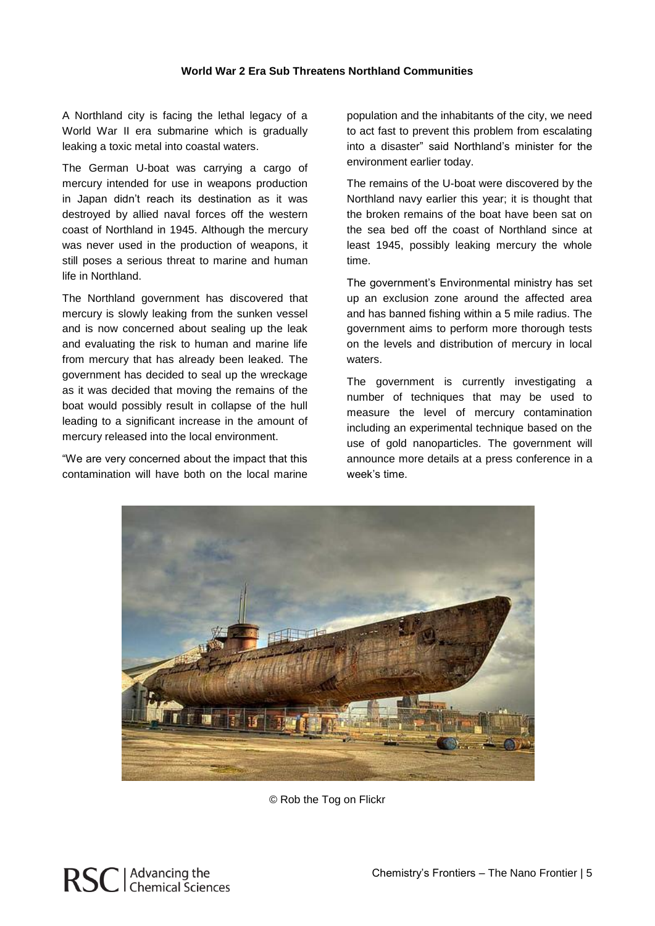#### **World War 2 Era Sub Threatens Northland Communities**

A Northland city is facing the lethal legacy of a World War II era submarine which is gradually leaking a toxic metal into coastal waters.

The German U-boat was carrying a cargo of mercury intended for use in weapons production in Japan didn't reach its destination as it was destroyed by allied naval forces off the western coast of Northland in 1945. Although the mercury was never used in the production of weapons, it still poses a serious threat to marine and human life in Northland.

The Northland government has discovered that mercury is slowly leaking from the sunken vessel and is now concerned about sealing up the leak and evaluating the risk to human and marine life from mercury that has already been leaked. The government has decided to seal up the wreckage as it was decided that moving the remains of the boat would possibly result in collapse of the hull leading to a significant increase in the amount of mercury released into the local environment.

"We are very concerned about the impact that this contamination will have both on the local marine population and the inhabitants of the city, we need to act fast to prevent this problem from escalating into a disaster" said Northland's minister for the environment earlier today.

The remains of the U-boat were discovered by the Northland navy earlier this year; it is thought that the broken remains of the boat have been sat on the sea bed off the coast of Northland since at least 1945, possibly leaking mercury the whole time.

The government's Environmental ministry has set up an exclusion zone around the affected area and has banned fishing within a 5 mile radius. The government aims to perform more thorough tests on the levels and distribution of mercury in local waters.

The government is currently investigating a number of techniques that may be used to measure the level of mercury contamination including an experimental technique based on the use of gold nanoparticles. The government will announce more details at a press conference in a week's time.



© Rob the Tog on Flickr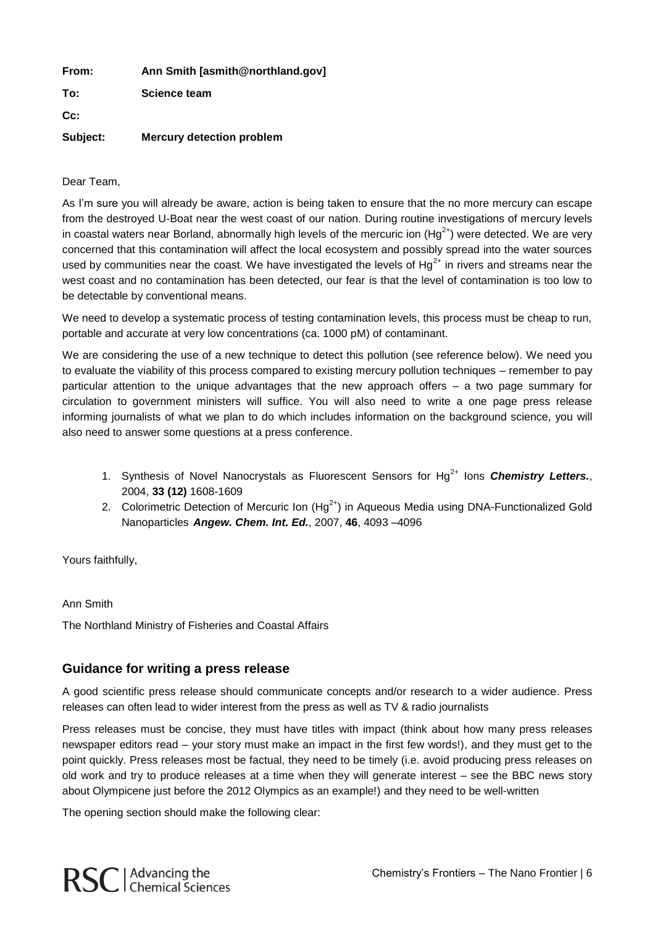| From:    | Ann Smith [asmith@northland.gov] |
|----------|----------------------------------|
| To:      | Science team                     |
| $Cc$ :   |                                  |
| Subject: | <b>Mercury detection problem</b> |

#### Dear Team,

As I'm sure you will already be aware, action is being taken to ensure that the no more mercury can escape from the destroyed U-Boat near the west coast of our nation. During routine investigations of mercury levels in coastal waters near Borland, abnormally high levels of the mercuric ion  $(Hg^{2+})$  were detected. We are very concerned that this contamination will affect the local ecosystem and possibly spread into the water sources used by communities near the coast. We have investigated the levels of  $Hq^{2+}$  in rivers and streams near the west coast and no contamination has been detected, our fear is that the level of contamination is too low to be detectable by conventional means.

We need to develop a systematic process of testing contamination levels, this process must be cheap to run, portable and accurate at very low concentrations (ca. 1000 pM) of contaminant.

We are considering the use of a new technique to detect this pollution (see reference below). We need you to evaluate the viability of this process compared to existing mercury pollution techniques – remember to pay particular attention to the unique advantages that the new approach offers – a two page summary for circulation to government ministers will suffice. You will also need to write a one page press release informing journalists of what we plan to do which includes information on the background science, you will also need to answer some questions at a press conference.

- 1. Synthesis of Novel Nanocrystals as Fluorescent Sensors for Hg<sup>2+</sup> lons *Chemistry Letters.*, 2004, **33 (12)** 1608-1609
- 2. Colorimetric Detection of Mercuric Ion (Hg<sup>2+</sup>) in Aqueous Media using DNA-Functionalized Gold Nanoparticles *Angew. Chem. Int. Ed.*, 2007, **46**, 4093 –4096

Yours faithfully,

Ann Smith

The Northland Ministry of Fisheries and Coastal Affairs

## **Guidance for writing a press release**

A good scientific press release should communicate concepts and/or research to a wider audience. Press releases can often lead to wider interest from the press as well as TV & radio journalists

Press releases must be concise, they must have titles with impact (think about how many press releases newspaper editors read – your story must make an impact in the first few words!), and they must get to the point quickly. Press releases most be factual, they need to be timely (i.e. avoid producing press releases on old work and try to produce releases at a time when they will generate interest – see the BBC news story about Olympicene just before the 2012 Olympics as an example!) and they need to be well-written

The opening section should make the following clear: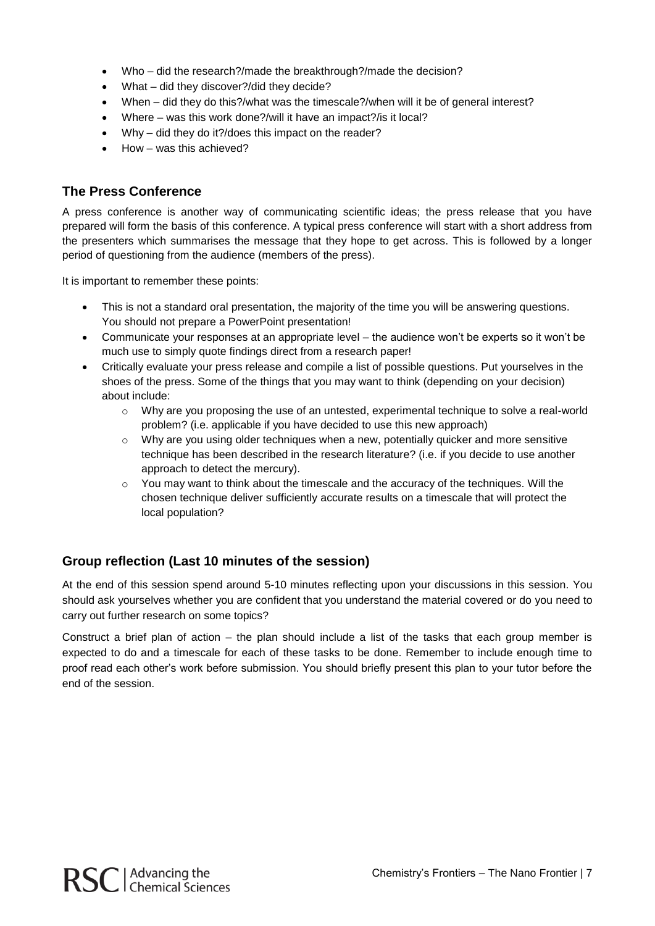- Who did the research?/made the breakthrough?/made the decision?
- What did they discover?/did they decide?
- When did they do this?/what was the timescale?/when will it be of general interest?
- Where was this work done?/will it have an impact?/is it local?
- Why did they do it?/does this impact on the reader?
- How was this achieved?

## **The Press Conference**

A press conference is another way of communicating scientific ideas; the press release that you have prepared will form the basis of this conference. A typical press conference will start with a short address from the presenters which summarises the message that they hope to get across. This is followed by a longer period of questioning from the audience (members of the press).

It is important to remember these points:

- This is not a standard oral presentation, the majority of the time you will be answering questions. You should not prepare a PowerPoint presentation!
- Communicate your responses at an appropriate level the audience won't be experts so it won't be much use to simply quote findings direct from a research paper!
- Critically evaluate your press release and compile a list of possible questions. Put yourselves in the shoes of the press. Some of the things that you may want to think (depending on your decision) about include:
	- $\circ$  Why are you proposing the use of an untested, experimental technique to solve a real-world problem? (i.e. applicable if you have decided to use this new approach)
	- $\circ$  Why are you using older techniques when a new, potentially quicker and more sensitive technique has been described in the research literature? (i.e. if you decide to use another approach to detect the mercury).
	- o You may want to think about the timescale and the accuracy of the techniques. Will the chosen technique deliver sufficiently accurate results on a timescale that will protect the local population?

## **Group reflection (Last 10 minutes of the session)**

At the end of this session spend around 5-10 minutes reflecting upon your discussions in this session. You should ask yourselves whether you are confident that you understand the material covered or do you need to carry out further research on some topics?

Construct a brief plan of action – the plan should include a list of the tasks that each group member is expected to do and a timescale for each of these tasks to be done. Remember to include enough time to proof read each other's work before submission. You should briefly present this plan to your tutor before the end of the session.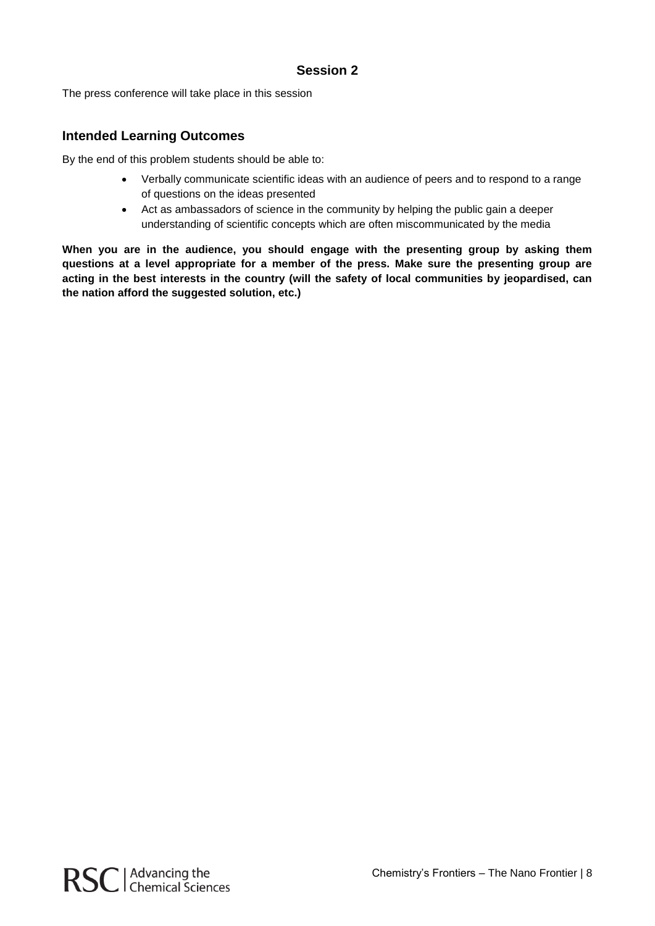## **Session 2**

The press conference will take place in this session

## **Intended Learning Outcomes**

By the end of this problem students should be able to:

- Verbally communicate scientific ideas with an audience of peers and to respond to a range of questions on the ideas presented
- Act as ambassadors of science in the community by helping the public gain a deeper understanding of scientific concepts which are often miscommunicated by the media

**When you are in the audience, you should engage with the presenting group by asking them questions at a level appropriate for a member of the press. Make sure the presenting group are acting in the best interests in the country (will the safety of local communities by jeopardised, can the nation afford the suggested solution, etc.)**

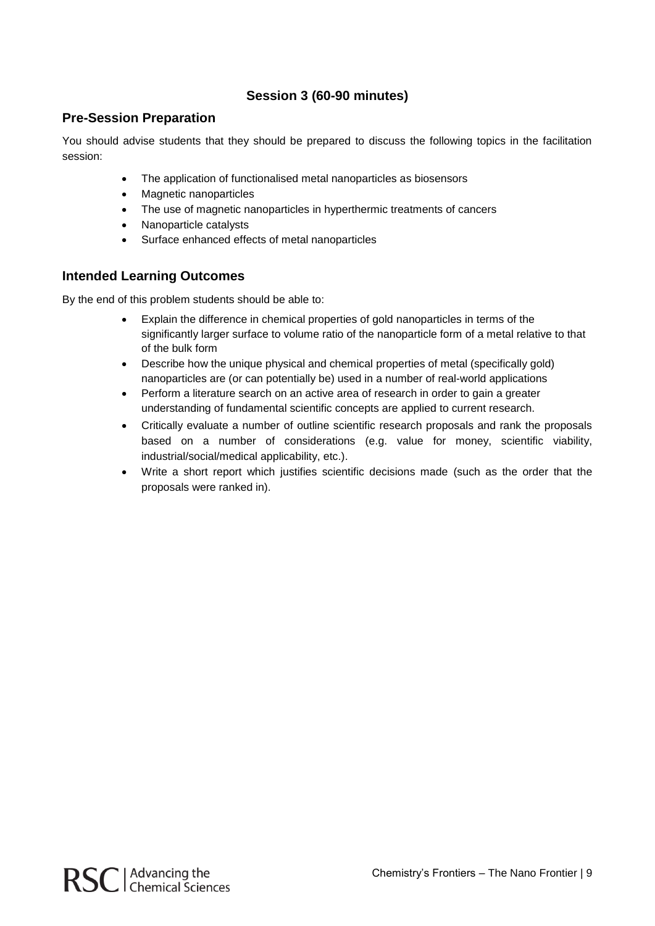## **Session 3 (60-90 minutes)**

## **Pre-Session Preparation**

You should advise students that they should be prepared to discuss the following topics in the facilitation session:

- The application of functionalised metal nanoparticles as biosensors
- Magnetic nanoparticles
- The use of magnetic nanoparticles in hyperthermic treatments of cancers
- Nanoparticle catalysts
- Surface enhanced effects of metal nanoparticles

### **Intended Learning Outcomes**

By the end of this problem students should be able to:

- Explain the difference in chemical properties of gold nanoparticles in terms of the significantly larger surface to volume ratio of the nanoparticle form of a metal relative to that of the bulk form
- Describe how the unique physical and chemical properties of metal (specifically gold) nanoparticles are (or can potentially be) used in a number of real-world applications
- Perform a literature search on an active area of research in order to gain a greater understanding of fundamental scientific concepts are applied to current research.
- Critically evaluate a number of outline scientific research proposals and rank the proposals based on a number of considerations (e.g. value for money, scientific viability, industrial/social/medical applicability, etc.).
- Write a short report which justifies scientific decisions made (such as the order that the proposals were ranked in).

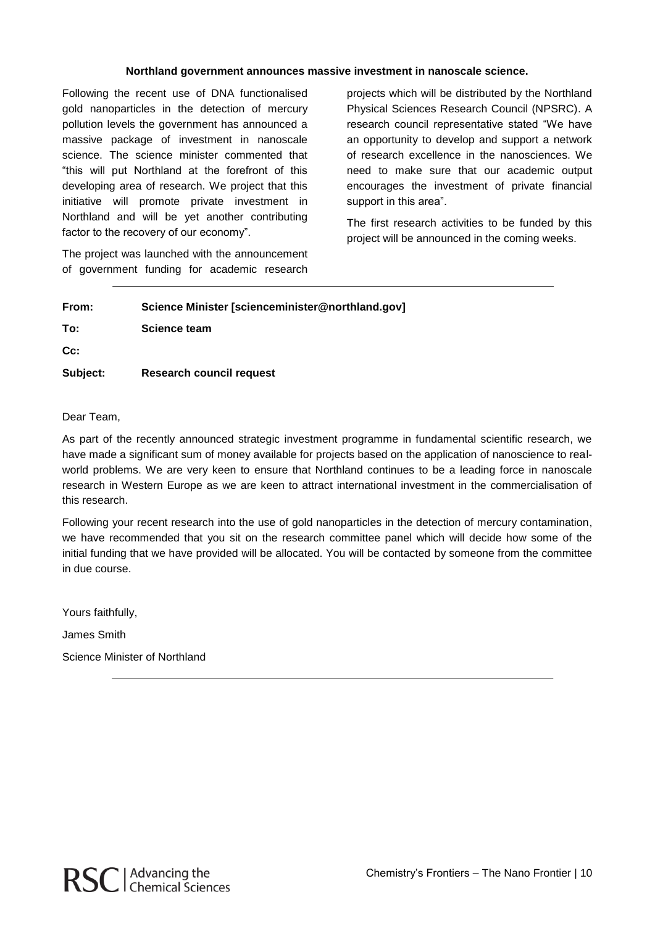#### **Northland government announces massive investment in nanoscale science.**

Following the recent use of DNA functionalised gold nanoparticles in the detection of mercury pollution levels the government has announced a massive package of investment in nanoscale science. The science minister commented that "this will put Northland at the forefront of this developing area of research. We project that this initiative will promote private investment in Northland and will be yet another contributing factor to the recovery of our economy".

The project was launched with the announcement of government funding for academic research

projects which will be distributed by the Northland Physical Sciences Research Council (NPSRC). A research council representative stated "We have an opportunity to develop and support a network of research excellence in the nanosciences. We need to make sure that our academic output encourages the investment of private financial support in this area".

The first research activities to be funded by this project will be announced in the coming weeks.

| From:    | Science Minister [scienceminister@northland.gov] |
|----------|--------------------------------------------------|
| To:      | Science team                                     |
| cc:      |                                                  |
| Subject: | Research council request                         |

#### Dear Team,

As part of the recently announced strategic investment programme in fundamental scientific research, we have made a significant sum of money available for projects based on the application of nanoscience to realworld problems. We are very keen to ensure that Northland continues to be a leading force in nanoscale research in Western Europe as we are keen to attract international investment in the commercialisation of this research.

Following your recent research into the use of gold nanoparticles in the detection of mercury contamination, we have recommended that you sit on the research committee panel which will decide how some of the initial funding that we have provided will be allocated. You will be contacted by someone from the committee in due course.

Yours faithfully,

James Smith

Science Minister of Northland

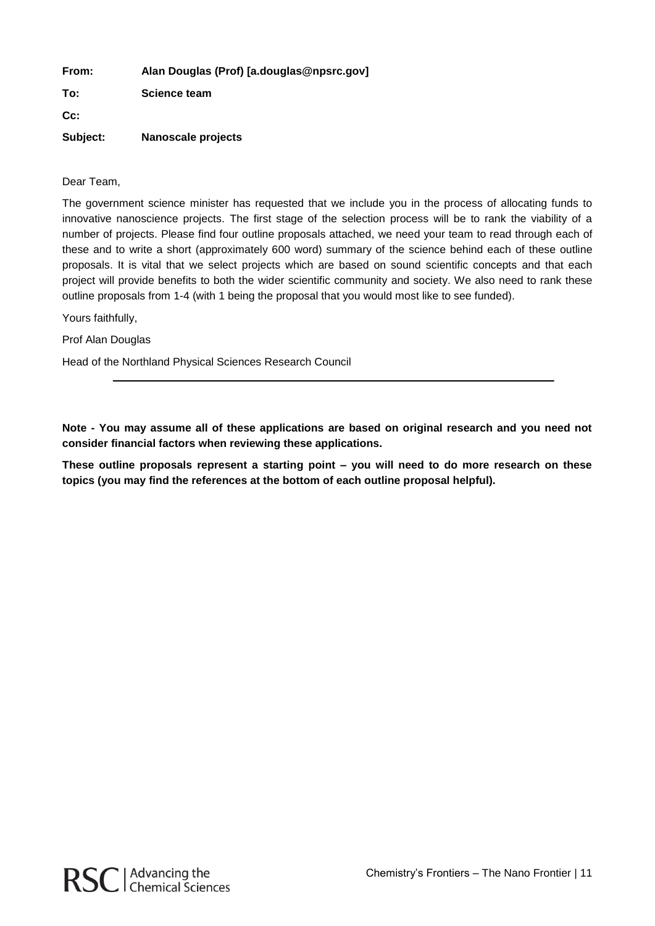| From:    | Alan Douglas (Prof) [a.douglas@npsrc.gov] |
|----------|-------------------------------------------|
| To:      | Science team                              |
| $Cc$ :   |                                           |
| Subject: | Nanoscale projects                        |

Dear Team,

The government science minister has requested that we include you in the process of allocating funds to innovative nanoscience projects. The first stage of the selection process will be to rank the viability of a number of projects. Please find four outline proposals attached, we need your team to read through each of these and to write a short (approximately 600 word) summary of the science behind each of these outline proposals. It is vital that we select projects which are based on sound scientific concepts and that each project will provide benefits to both the wider scientific community and society. We also need to rank these outline proposals from 1-4 (with 1 being the proposal that you would most like to see funded).

Yours faithfully,

Prof Alan Douglas

Head of the Northland Physical Sciences Research Council

**Note - You may assume all of these applications are based on original research and you need not consider financial factors when reviewing these applications.**

**These outline proposals represent a starting point – you will need to do more research on these topics (you may find the references at the bottom of each outline proposal helpful).**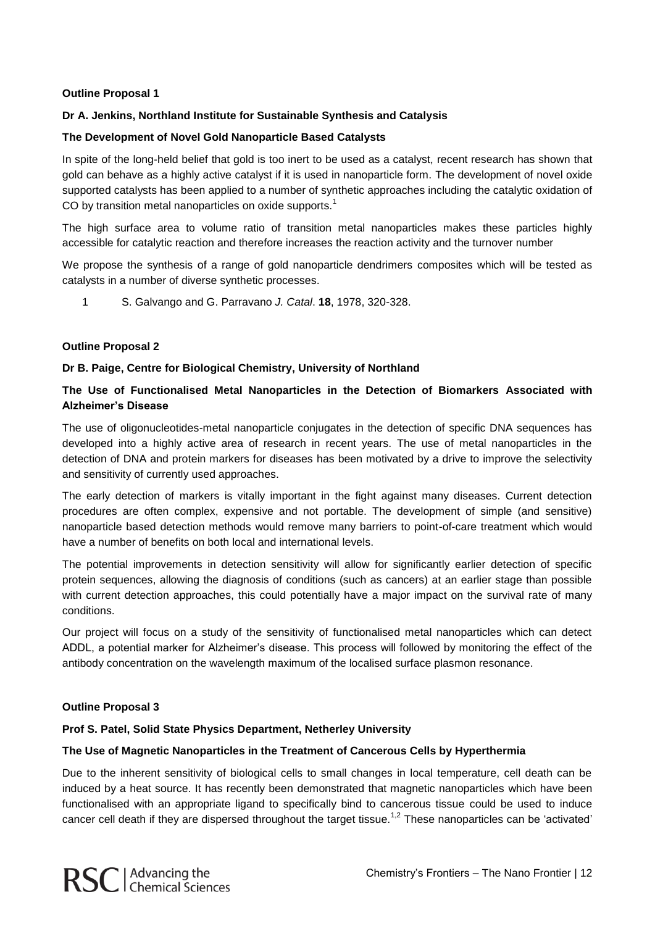#### **Outline Proposal 1**

#### **Dr A. Jenkins, Northland Institute for Sustainable Synthesis and Catalysis**

#### **The Development of Novel Gold Nanoparticle Based Catalysts**

In spite of the long-held belief that gold is too inert to be used as a catalyst, recent research has shown that gold can behave as a highly active catalyst if it is used in nanoparticle form. The development of novel oxide supported catalysts has been applied to a number of synthetic approaches including the catalytic oxidation of CO by transition metal nanoparticles on oxide supports.<sup>1</sup>

The high surface area to volume ratio of transition metal nanoparticles makes these particles highly accessible for catalytic reaction and therefore increases the reaction activity and the turnover number

We propose the synthesis of a range of gold nanoparticle dendrimers composites which will be tested as catalysts in a number of diverse synthetic processes.

1 S. Galvango and G. Parravano *J. Catal*. **18**, 1978, 320-328.

#### **Outline Proposal 2**

#### **Dr B. Paige, Centre for Biological Chemistry, University of Northland**

#### **The Use of Functionalised Metal Nanoparticles in the Detection of Biomarkers Associated with Alzheimer's Disease**

The use of oligonucleotides-metal nanoparticle conjugates in the detection of specific DNA sequences has developed into a highly active area of research in recent years. The use of metal nanoparticles in the detection of DNA and protein markers for diseases has been motivated by a drive to improve the selectivity and sensitivity of currently used approaches.

The early detection of markers is vitally important in the fight against many diseases. Current detection procedures are often complex, expensive and not portable. The development of simple (and sensitive) nanoparticle based detection methods would remove many barriers to point-of-care treatment which would have a number of benefits on both local and international levels.

The potential improvements in detection sensitivity will allow for significantly earlier detection of specific protein sequences, allowing the diagnosis of conditions (such as cancers) at an earlier stage than possible with current detection approaches, this could potentially have a major impact on the survival rate of many conditions.

Our project will focus on a study of the sensitivity of functionalised metal nanoparticles which can detect ADDL, a potential marker for Alzheimer's disease. This process will followed by monitoring the effect of the antibody concentration on the wavelength maximum of the localised surface plasmon resonance.

#### **Outline Proposal 3**

#### **Prof S. Patel, Solid State Physics Department, Netherley University**

#### **The Use of Magnetic Nanoparticles in the Treatment of Cancerous Cells by Hyperthermia**

Due to the inherent sensitivity of biological cells to small changes in local temperature, cell death can be induced by a heat source. It has recently been demonstrated that magnetic nanoparticles which have been functionalised with an appropriate ligand to specifically bind to cancerous tissue could be used to induce cancer cell death if they are dispersed throughout the target tissue.<sup>1,2</sup> These nanoparticles can be 'activated'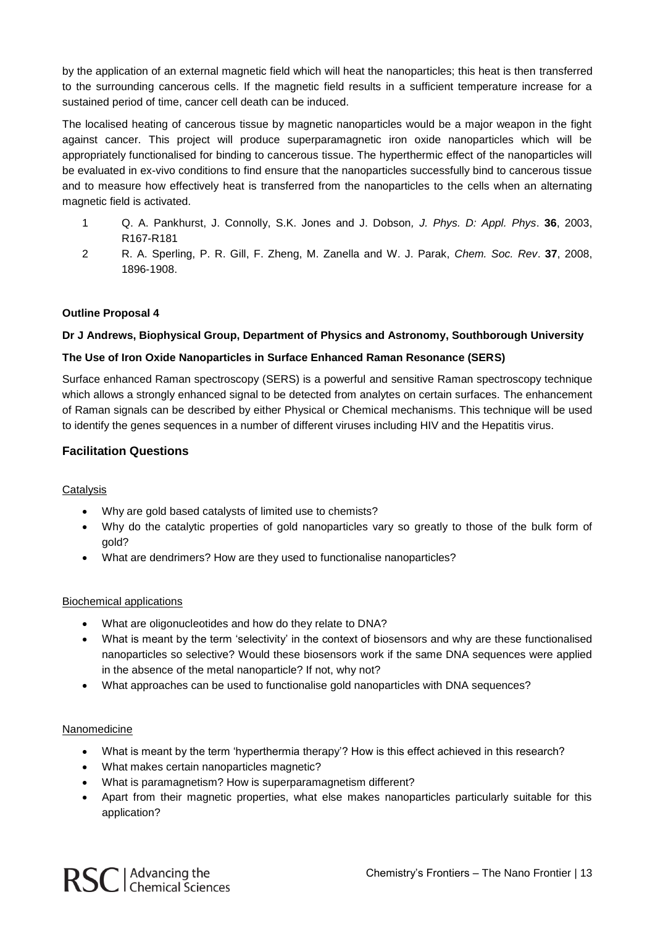by the application of an external magnetic field which will heat the nanoparticles; this heat is then transferred to the surrounding cancerous cells. If the magnetic field results in a sufficient temperature increase for a sustained period of time, cancer cell death can be induced.

The localised heating of cancerous tissue by magnetic nanoparticles would be a major weapon in the fight against cancer. This project will produce superparamagnetic iron oxide nanoparticles which will be appropriately functionalised for binding to cancerous tissue. The hyperthermic effect of the nanoparticles will be evaluated in ex-vivo conditions to find ensure that the nanoparticles successfully bind to cancerous tissue and to measure how effectively heat is transferred from the nanoparticles to the cells when an alternating magnetic field is activated.

- 1 Q. A. Pankhurst, J. Connolly, S.K. Jones and J. Dobson*, J. Phys. D: Appl. Phys*. **36**, 2003, R167-R181
- 2 R. A. Sperling, P. R. Gill, F. Zheng, M. Zanella and W. J. Parak, *Chem. Soc. Rev*. **37**, 2008, 1896-1908.

#### **Outline Proposal 4**

#### **Dr J Andrews, Biophysical Group, Department of Physics and Astronomy, Southborough University**

#### **The Use of Iron Oxide Nanoparticles in Surface Enhanced Raman Resonance (SERS)**

Surface enhanced Raman spectroscopy (SERS) is a powerful and sensitive Raman spectroscopy technique which allows a strongly enhanced signal to be detected from analytes on certain surfaces. The enhancement of Raman signals can be described by either Physical or Chemical mechanisms. This technique will be used to identify the genes sequences in a number of different viruses including HIV and the Hepatitis virus.

#### **Facilitation Questions**

#### **Catalysis**

- Why are gold based catalysts of limited use to chemists?
- Why do the catalytic properties of gold nanoparticles vary so greatly to those of the bulk form of gold?
- What are dendrimers? How are they used to functionalise nanoparticles?

#### Biochemical applications

- What are oligonucleotides and how do they relate to DNA?
- What is meant by the term 'selectivity' in the context of biosensors and why are these functionalised nanoparticles so selective? Would these biosensors work if the same DNA sequences were applied in the absence of the metal nanoparticle? If not, why not?
- What approaches can be used to functionalise gold nanoparticles with DNA sequences?

#### Nanomedicine

- What is meant by the term 'hyperthermia therapy'? How is this effect achieved in this research?
- What makes certain nanoparticles magnetic?
- What is paramagnetism? How is superparamagnetism different?
- Apart from their magnetic properties, what else makes nanoparticles particularly suitable for this application?

RSC | Advancing the<br>RSC | Chemical Sciences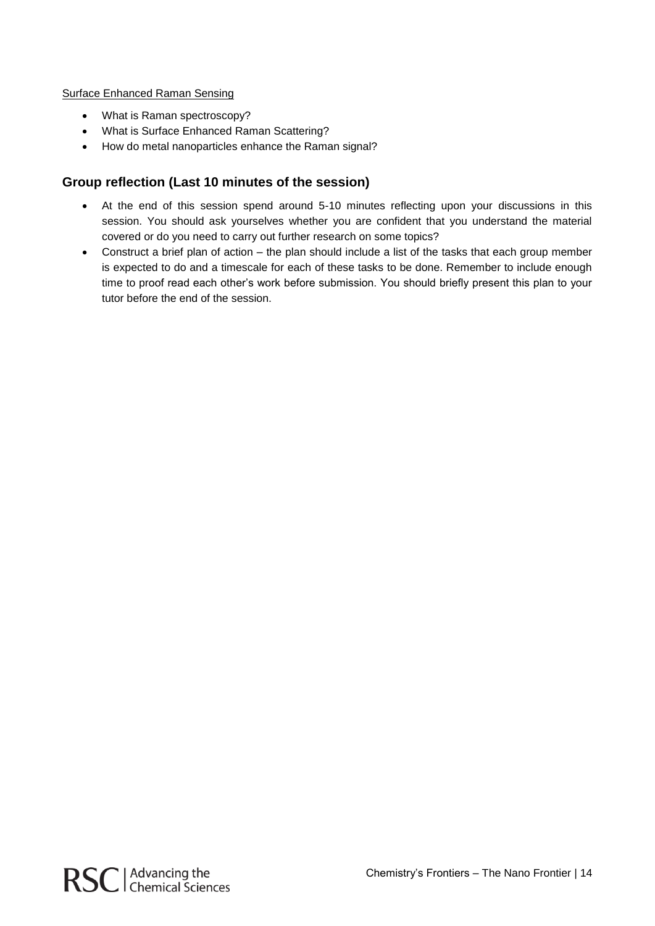#### Surface Enhanced Raman Sensing

- What is Raman spectroscopy?
- What is Surface Enhanced Raman Scattering?
- How do metal nanoparticles enhance the Raman signal?

## **Group reflection (Last 10 minutes of the session)**

- At the end of this session spend around 5-10 minutes reflecting upon your discussions in this session. You should ask yourselves whether you are confident that you understand the material covered or do you need to carry out further research on some topics?
- Construct a brief plan of action the plan should include a list of the tasks that each group member is expected to do and a timescale for each of these tasks to be done. Remember to include enough time to proof read each other's work before submission. You should briefly present this plan to your tutor before the end of the session.